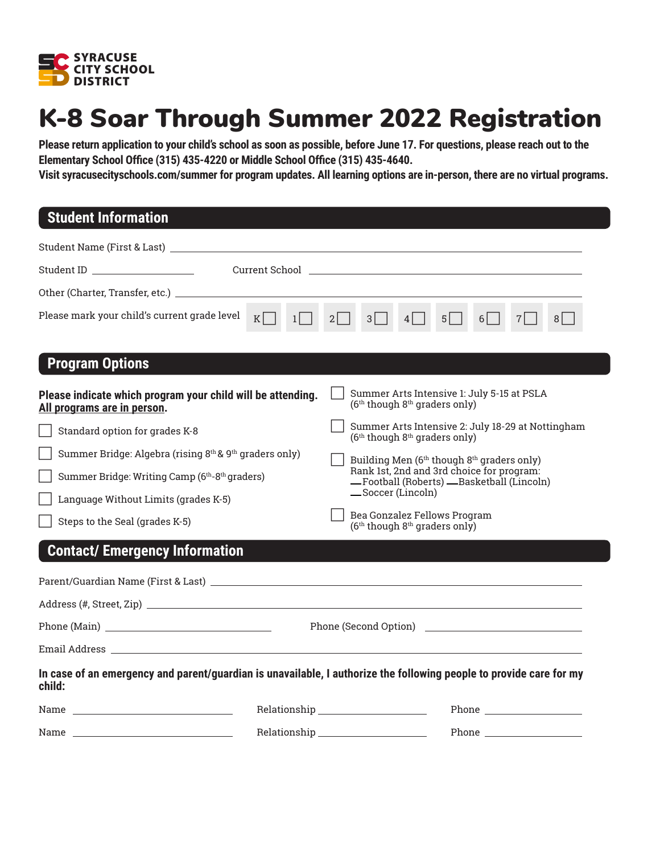

# K-8 Soar Through Summer 2022 Registration

**Please return application to your child's school as soon as possible, before June 17. For questions, please reach out to the Elementary School Office (315) 435-4220 or Middle School Office (315) 435-4640.** 

**Visit syracusecityschools.com/summer for program updates. All learning options are in-person, there are no virtual programs.**

## **Student Information**

| Student ID                                                                                                                                                                                                                     | Current School <b>Current School</b> and the second second second second second second second second second second second second second second second second second second second second second second second second second second |  |
|--------------------------------------------------------------------------------------------------------------------------------------------------------------------------------------------------------------------------------|------------------------------------------------------------------------------------------------------------------------------------------------------------------------------------------------------------------------------------|--|
|                                                                                                                                                                                                                                |                                                                                                                                                                                                                                    |  |
| Please mark your child's current grade level<br>$K \Box$<br>$1 \vert$ $\vert$                                                                                                                                                  | $3\Box$<br>$2$  <br>$4$  <br>$5$  <br>$6$   $\sqrt{ }$<br>$7$  <br>8 <sup>1</sup>                                                                                                                                                  |  |
| <b>Program Options</b>                                                                                                                                                                                                         |                                                                                                                                                                                                                                    |  |
| Please indicate which program your child will be attending.<br>All programs are in person.                                                                                                                                     | Summer Arts Intensive 1: July 5-15 at PSLA<br>(6 <sup>th</sup> though 8 <sup>th</sup> graders only)                                                                                                                                |  |
| Standard option for grades K-8                                                                                                                                                                                                 | Summer Arts Intensive 2: July 18-29 at Nottingham<br>(6 <sup>th</sup> though 8 <sup>th</sup> graders only)                                                                                                                         |  |
| Summer Bridge: Algebra (rising 8th & 9th graders only)                                                                                                                                                                         | Building Men (6 <sup>th</sup> though 8 <sup>th</sup> graders only)                                                                                                                                                                 |  |
| Summer Bridge: Writing Camp (6 <sup>th</sup> -8 <sup>th</sup> graders)                                                                                                                                                         | Rank 1st, 2nd and 3rd choice for program:<br>-Football (Roberts) - Basketball (Lincoln)                                                                                                                                            |  |
| Language Without Limits (grades K-5)                                                                                                                                                                                           | -Soccer (Lincoln)                                                                                                                                                                                                                  |  |
| Steps to the Seal (grades K-5)                                                                                                                                                                                                 | Bea Gonzalez Fellows Program<br>$(6th$ though $8th$ graders only)                                                                                                                                                                  |  |
| <b>Contact/ Emergency Information</b>                                                                                                                                                                                          |                                                                                                                                                                                                                                    |  |
|                                                                                                                                                                                                                                |                                                                                                                                                                                                                                    |  |
|                                                                                                                                                                                                                                |                                                                                                                                                                                                                                    |  |
|                                                                                                                                                                                                                                |                                                                                                                                                                                                                                    |  |
|                                                                                                                                                                                                                                |                                                                                                                                                                                                                                    |  |
| In case of an emergency and parent/guardian is unavailable, I authorize the following people to provide care for my<br>child:                                                                                                  |                                                                                                                                                                                                                                    |  |
|                                                                                                                                                                                                                                | Relationship _______________________                                                                                                                                                                                               |  |
| Name and the contract of the contract of the contract of the contract of the contract of the contract of the contract of the contract of the contract of the contract of the contract of the contract of the contract of the c |                                                                                                                                                                                                                                    |  |